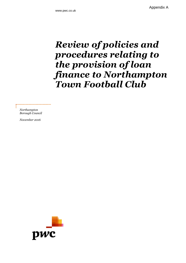Appendix A

## *Review of policies and procedures relating to the provision of loan finance to Northampton Town Football Club*

*Northampton Borough Council*

*November 2016*

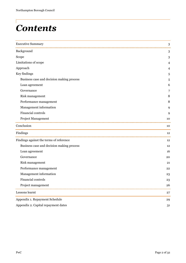# *Contents*

| <b>Executive Summary</b>                  | 3  |
|-------------------------------------------|----|
| Background                                | 3  |
| Scope                                     | 3  |
| Limitations of scope                      | 4  |
| Approach                                  | 4  |
| Key findings                              | 5  |
| Business case and decision making process | 5  |
| Loan agreement                            | 6  |
| Governance                                | 7  |
| Risk management                           | 8  |
| Performance management                    | 8  |
| Management information                    | 9  |
| Financial controls                        | 9  |
| Project Management                        | 10 |
| Conclusion                                | 10 |
| Findings                                  | 12 |
| Findings against the terms of reference   | 12 |
| Business case and decision making process | 12 |
| Loan agreement                            | 16 |
| Governance                                | 20 |
| Risk management                           | 21 |
| Performance management                    | 22 |
| Management information                    | 23 |
| Financial controls                        | 23 |
| Project management                        | 26 |
| Lessons learnt                            | 27 |
| Appendix 1. Repayment Schedule            | 29 |
| Appendix 2. Capital repayment dates       | 31 |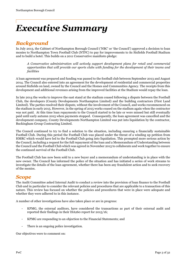## *Executive Summary*

## *Background*

In July 2013, the Cabinet of Northampton Borough Council ('NBC' or 'the Council') approved a decision to loan monies to Northampton Town Football Club (NTFC) to pay for improvements to its Sixfields Football Stadium and to build a hotel. This builds on a 2011 Conservative manifesto pledge:

*A Conservative administration will actively support development plans for retail and commercial opportunities that will provide our sports clubs with funding for the development of their teams and facilities*

A loan agreement was prepared and funding was passed to the football club between September 2013 and August 2014. The Council also entered into an agreement for the development of residential and commercial properties around Sixfields on land, owned by the Council and the Homes and Communities Agency. The receipts from this development and additional revenues arising from the improved facilities at the Stadium would repay the loan.

In late 2014 the works to improve the east stand at the stadium ceased following a dispute between the Football Club, the developers (County Developments Northampton Limited) and the building contractors (First Land Limited). The parties resolved their dispute, without the involvement of the Council, and works recommenced on the stadium in early 2015. However, in the spring of 2015 works ceased on the stadium again when the contractor was not paid. At this time loan repayments to the Council started to be late or were missed but still eventually paid until early autumn 2015 when payments stopped. Consequently, the loan agreement was cancelled and the development company, County Developments Northampton Limited was put into liquidation by the contractor, Buckingham Group Contracting Limited.

The Council continued to try to find a solution to the situation, including ensuring a financially sustainable Football Club. During this period the Football Club was placed under the threat of a winding up petition from HMRC which would have led to the Football Club going into liquidation. This prompted more serious action by the Council, including a request for the full repayment of the loan and a Memorandum of Understanding between the Council and the Football Club which was agreed in November 2015 to collaborate and work together to ensure the continued survival of the Football Club.

The Football Club has now been sold to a new buyer and a memorandum of understanding is in place with the new owner. The Council has informed the police of the situation and has initiated a series of work streams to investigate the details of the loan agreement, whether there has been any fraudulent action and to seek recovery of the monies.

## *Scope*

The Audit Committee asked Internal Audit to conduct a review into the provision of loan finance to the Football Club and in particular to consider the relevant policies and procedures that are applicable to a transaction of this nature. This review has focused on whether the policies and procedures that were in place were adequate and whether they were adhered to in this instance.

A number of other investigations have also taken place or are in progress:

- KPMG, the external auditors, have considered the transactions as part of their external audit and reported their findings in their ISA260 report for 2015/16;
- KPMG are responding to an objection to the Financial Statements; and
- There is an ongoing police investigation.

Our objectives were to comment on: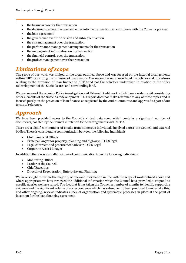- the business case for the transaction
- the decision to accept the case and enter into the transaction, in accordance with the Council's policies
- the loan agreement
- the governance over the decision and subsequent action
- the risk management over the transaction
- the performance management arrangements for the transaction
- the management information on the transaction
- the financial controls over the transaction
- the project management over the transaction

## *Limitations of scope*

The scope of our work was limited to the areas outlined above and was focused on the internal arrangements within NBC concerning the provision of loan finance. Our review has only considered the policies and procedures relating to the provision of loan finance to NTFC and not the activities undertaken in relation to the wider redevelopment of the Sixfields area and surrounding land.

We are aware of the ongoing Police investigation and External Audit work which have a wider remit considering other elements of the Sixfields redevelopment. This report does not make reference to any of these topics and is focused purely on the provision of loan finance, as requested by the Audit Committee and approved as part of our terms of reference.

### *Approach*

We have been provided access to the Council's virtual data room which contains a significant number of documents, collated by the Council in relation to the arrangements with NTFC.

There are a significant number of emails from numerous individuals involved across the Council and external bodies. There is considerable communication between the following individuals:

- Chief Financial Officer
- Principal lawyer for property, planning and highways; LGSS legal
- Legal contracts and procurement advisor, LGSS Legal
- Corporate Asset Manager

In addition there was a smaller volume of communication from the following individuals:

- Monitoring Officer
- Leader of the Council
- Chief Executive
- Director of Regeneration, Enterprise and Planning

We have sought to review the majority of relevant information in line with the scope of work defined above and where appropriate we have reviewed the additional information which the Council have provided to respond to specific queries we have raised. The fact that it has taken the Council a number of months to identify supporting evidence and the significant volume of correspondence which has subsequently been produced to undertake this, and other ongoing, reviews indicates a lack of organisation and systematic processes in place at the point of inception for the loan financing agreement.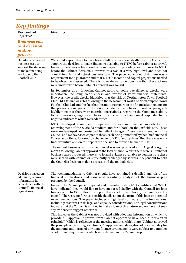| <b>Key findings</b>                                                                                                              |                                                                                                                                                                                                                                                                                                                                                                                                                                                                                                                                                                                                                                                                                                                                                 |
|----------------------------------------------------------------------------------------------------------------------------------|-------------------------------------------------------------------------------------------------------------------------------------------------------------------------------------------------------------------------------------------------------------------------------------------------------------------------------------------------------------------------------------------------------------------------------------------------------------------------------------------------------------------------------------------------------------------------------------------------------------------------------------------------------------------------------------------------------------------------------------------------|
| <b>Key control</b><br>objective                                                                                                  | <b>Findings</b>                                                                                                                                                                                                                                                                                                                                                                                                                                                                                                                                                                                                                                                                                                                                 |
| <b>Business case</b><br>and decision<br>making<br><i>process</i>                                                                 |                                                                                                                                                                                                                                                                                                                                                                                                                                                                                                                                                                                                                                                                                                                                                 |
| Detailed and costed<br>business case to<br>support the decision<br>to make financing<br>available to the<br><b>Football Club</b> | We would expect there to have been a full business case, drafted by the Council, to<br>support the decision to make financing available to NTFC before cabinet approval.<br>Instead, there was a high level options paper for providing loan finance to NTFC<br>before the Cabinet decision. However, this was at a very high level and does not<br>constitute a full and robust business case. The paper concluded that there was a<br>requirement for a guarantor and that NTFC's income and capital projections needed<br>to be objectively assessed. There is no evidence to demonstrate that these actions<br>were undertaken before Cabinet approval was sought.                                                                          |
|                                                                                                                                  | In September 2013, following Cabinet approval some due diligence checks were<br>undertaken, including credit checks and review of latest financial statements.<br>However, the credit checks identified that the risk of Northampton Town Football<br>Club Ltd's failure was "high" owing to the negative net worth of Northampton Town<br>Football Club Ltd and the fact that the auditor's report on the financial statements for<br>the previous four years up to 2012 included an emphasis of matter paragraph<br>highlighting that there were material uncertainties regarding the Company's ability<br>to continue on a going concern basis. It is unclear how the Council responded to the<br>negative indicators which were identified. |
|                                                                                                                                  | NTFC developed a number of separate business and financial models for the<br>redevelopment of the Sixfields Stadium and for a hotel on the Sixfields site. These<br>were re-developed and re-issued to reflect changes. These were shared with the<br>Council and we have seen copies of these, each being annotated by the Chief Financial<br>Officer and others, followed by challenge to NTFC and updates. But there was not a<br>final definitive version to support the decision to provide finance to NTFC.                                                                                                                                                                                                                               |
|                                                                                                                                  | The earliest business and financial model was not produced until August 2013, the<br>month following Cabinet approval of the loan finance. Whilst there were a number of<br>business cases produced, there is no formal evidence available to demonstrate these<br>were shared with Cabinet or sufficiently challenged by sources independent to both<br>the Council's decision making process and the football club.                                                                                                                                                                                                                                                                                                                           |
| Decisions based on<br>adequate, accurate<br>information in                                                                       | The recommendation to Cabinet should have contained a detailed analysis of the<br>financial implications and associated sensitivity analyses of the business plan<br>prepared by the Council.                                                                                                                                                                                                                                                                                                                                                                                                                                                                                                                                                   |
| accordance with the<br>Council's financial<br>regulations                                                                        | Instead, the Cabinet paper prepared and presented in July 2013 identifies that "NTFC<br>have indicated they would like to have an agreed facility with the Council for loan<br>finance of up to £12 million to support these stadium and hotel $\prime$ conference centre<br>plans". There are no further, specific details about the form of this loan or potential<br>repayment options. The paper includes a high level summary of the implications,<br>including: resources, risk, legal and equality considerations. The legal considerations<br>indicate that the Council is entitled to make a loan of this nature and we have not seen<br>any evidence to suggest otherwise.                                                            |
|                                                                                                                                  | This indicates the Cabinet was not provided with adequate information on which to<br>provide full approval. Approval from Cabinet appears to have been a "decision in<br>principle". Which is reflective of the meeting minutes which state "Cabinet approved"<br>the principle of providing loan finance". Approval and delegation of responsibility for<br>the amounts and terms of any loan finance arrangements were subject to a number<br>of additional requirements which were defined in the Cabinet Report.                                                                                                                                                                                                                            |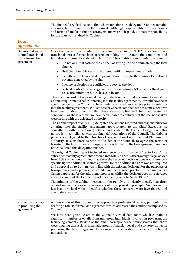The financial regulations state that where functions are delegated, Cabinet remains accountable for them to the Full Council. Although responsibility for the amounts and terms of any loan finance arrangements were delegated, ultimate responsibility for the loan was retained by Cabinet.

| Loan<br>agreement                                                          |                                                                                                                                                                                                                                                                                                                                                                                                                                                                                                                                                                                                                                                                                                             |
|----------------------------------------------------------------------------|-------------------------------------------------------------------------------------------------------------------------------------------------------------------------------------------------------------------------------------------------------------------------------------------------------------------------------------------------------------------------------------------------------------------------------------------------------------------------------------------------------------------------------------------------------------------------------------------------------------------------------------------------------------------------------------------------------------|
| Decision taken by<br>Council translated<br>into a formal loan<br>agreement | Once the decision was made to provide loan financing to NTFC, this should have<br>translated into a formal loan agreement taking into account the conditions and<br>limitations imposed by Cabinet in July 2013. The conditions and limitations were:                                                                                                                                                                                                                                                                                                                                                                                                                                                       |
|                                                                            | No net or initial costs to the Council of setting up and administering the loan<br>$\bullet$<br>finance                                                                                                                                                                                                                                                                                                                                                                                                                                                                                                                                                                                                     |
|                                                                            | Sufficient tangible security is offered until full repayment is made<br>٠                                                                                                                                                                                                                                                                                                                                                                                                                                                                                                                                                                                                                                   |
|                                                                            | Length of the loan and its repayment are linked to the timing of additional<br>$\bullet$<br>revenue generated by the club                                                                                                                                                                                                                                                                                                                                                                                                                                                                                                                                                                                   |
|                                                                            | Income projections are sufficient to service the debt<br>٠                                                                                                                                                                                                                                                                                                                                                                                                                                                                                                                                                                                                                                                  |
|                                                                            | Robust contractual arrangements in place between NTFC and a third party<br>$\bullet$<br>to secure minimum future levels of income                                                                                                                                                                                                                                                                                                                                                                                                                                                                                                                                                                           |
|                                                                            | There is no record of the Council having undertaken a formal assessment against the<br>Cabinet requirements before entering into the facility agreements. It would have been<br>good practice for the Council to have undertaken such an exercise prior to entering<br>into the facility agreements. Whilst these have been complied with to some extent, we<br>have been unable to confirm that these were complied with fully, addressing all<br>concerns. For these reasons, we have been unable to confirm that the decisions taken<br>were in line with the delegated authority.                                                                                                                       |
|                                                                            | The Cabinet report of July 2013 delegated the actions required and responsibility for<br>entering into the facility agreements appropriately to the Chief Executive, in<br>consultation with the Section 151 Officer and Leader of the Council. Delegation of this<br>nature is in compliance with the financial regulations of the Council. The Cabinet<br>paper also delegated to the Director of Regeneration Enterprise and Planning the<br>authority, in consultations with the leader of the Council, to agree the terms of<br>transfer of the land. Since our scope of work is limited to the loan agreement we have<br>not considered this delegation further.                                      |
|                                                                            | The original Cabinet report included reference to loan finance of "up to £12m"; the<br>subsequent facility agreements entered into total £13.5m. Officers sought legal advice<br>from LGSS which determined that since the recorded decision does not reference a<br>specific figure additional Cabinet approval for the additional $£1.5m$ was not required<br>and approval up to $£13.5m$ was in line with the existing decision. For the purposes of<br>transparency and openness it would have been good practice to obtain further<br>Cabinet approval for the additional monies as whilst the decision does not reference<br>a specific amount the Cabinet report does clearly refer to "up to £12m". |
|                                                                            | The minutes of the Cabinet meeting on the 13 July 2013 clearly identify that three<br>opposition members raised concerns about the approval in principle. No information<br>has been provided which identifies whether these concerns were investigated and<br>adequately resolved.                                                                                                                                                                                                                                                                                                                                                                                                                         |
| Professional advice<br>in producing the<br>agreement                       | A transaction of this sort requires appropriate professional advice, particularly in<br>drafting a robust, formal loan agreement which addressed the conditions imposed by<br>Cabinet in July 2013.                                                                                                                                                                                                                                                                                                                                                                                                                                                                                                         |
|                                                                            | We have been given access to the Council's virtual data room which contains a<br>significant number of emails from numerous individuals involved in preparing the<br>facility agreements. Review of the email correspondence demonstrates that there<br>were ongoing discussions internally around financial, legal and statutory duties in<br>preparing the facility agreements, alongside consideration of risks and potential<br>mitigations.                                                                                                                                                                                                                                                            |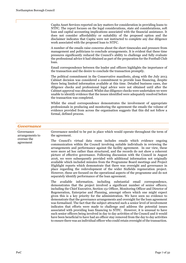Capita Asset Services reported on key matters for consideration in providing loans to NTFC. The report focuses on the legal considerations, state aid considerations, soft loan and capital accounting implications associated with the financial assistance. It does not consider affordability or suitability of the proposed option and the disclaimer indicates that Capita were not instructed to complete any due diligence work associated with the proposed loan to NTFC.

A number of the emails raise concerns about the short timescales and pressure from management and politicians to conclude arrangements. It is evident that these time pressures significantly reduced the Council's ability to challenge and fully evaluate the professional advice it had obtained as part of the preparation for the Football Club loan.

Email correspondence between the leader and officers highlights the importance of the transaction and the desire to conclude the transaction promptly.

The political commitment in the Conservative manifesto, along with the July 2013 Cabinet decision was considered a commitment to provide loan financing, despite there being limited information available at this time. Detailed business cases, due diligence checks and professional legal advice were not obtained until after the Cabinet approval was obtained. Whilst due diligence checks were undertaken we were unable to identify evidence that the issues identified were adequately resolved before the transaction was completed.

Whilst the email correspondence demonstrates the involvement of appropriate professionals in producing and monitoring the agreement the emails the volume of evidence provided from across the organisation suggests that this did not follow a formal, defined process.

#### *Governance*

Governance arrangements to oversee the agreement Governance needed to be put in place which would operate throughout the term of the agreement. The Council's virtual data room includes emails which evidence ongoing communication within the Council involving suitable individuals in reviewing the arrangements and performance against the facility agreement. In our view, these

were more ad hoc rather than structured, and the records do not show a coherent picture of effective governance. Following discussion with the Council in August 2016, we were subsequently provided with additional information not originally available which included minutes from the Programme Board meetings and Project Highlight reports which demonstrate that there was oversight and governance in place regarding the redevelopment of the wider Sixfields regeneration project. However, these are focused on the operational aspects of the programme and do not separately identify performance of the loan agreement.

The available information, including substantial email correspondence, demonstrates that the project involved a significant number of senior officers; including the Chief Executive, Section 151 Officer, Monitoring Officer and Director of Regeneration, Enterprise and Planning, amongst others which one might expect given this is a key priority for the administration. We have seen no evidence to demonstrate that the governance arrangements and oversight for the loan agreement was formalised. The fact that the subject attracted such a senior level of involvement indicates that efforts were made to challenge and address the potential issues associated with providing loan financing to NTFC. However, it is unusual to have such senior officers being involved in day to day activities of the Council and it would have been beneficial to have had an officer stay removed from the day to day activities to ensure there was an individual officer who could retain oversight of the transaction.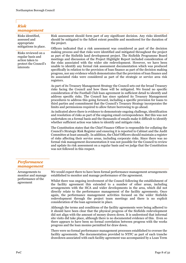#### *Risk management*

Risks identified, assessed and appropriate mitigations in place.

Risks reviewed on a regular basis and action taken to protect the Council's interests

Risk assessment should form part of any significant decision. Any risks identified should be mitigated to the fullest extent possible and monitored for the duration of the project.

Officers indicated that a risk assessment was considered as part of the decision making process and that risks were identified and mitigated throughout the project as part of the Sixfields land development project. The Sixfields Programme Board meetings and discussion of the Project Highlight Report included consideration of the risks associated with the wider site redevelopment. However, we have been unable to identify any formal risk assessment documentation which was produced specifically in relation to the provision of loan finance as part of the decision making progress, nor any evidence which demonstrates that the provision of loan finance and its associated risks were considered as part of the strategic or service area risk registers.

As part of its Treasury Management Strategy the Council sets out the broad Treasury risks facing the Council and how these will be mitigated. We found no specific consideration of the Football Club loan agreement in sufficient detail to identify and address specific risks. The Council has since updated its Treasury Management procedures to address this going forward, including a specific provision for loans to third parties and commitment that the Council's Treasury Strategy incorporates the limits and permissions required to allow future borrowing to go ahead.

As indicated above there is evidence to demonstrate ongoing challenge, identification and resolution of risks as part of the ongoing email correspondence. But this was not undertaken on a formal basis and the thousands of emails make it difficult to identify whether sufficient action was taken to identify and mitigate risks.

The Constitution states that the Chief Finance Officer is responsible for collating the Council's Strategic Risk Register and ensuring it is reported to Cabinet and the Audit Committee at least annually. In addition, the Chief Officers should maintain a register of risks affecting their service areas, including corporate risks. Since there was no formal risk management documentation it was not possible for the Council to review and update its risk assessment on a regular basis and we judge that the Constitution was not followed in this respect.

#### *Performance management*

Arrangements to monitor and manage performance of the agreement

We would expect there to have been formal performance management arrangements established to monitor and manage performance of the agreement.

Whilst there was ongoing involvement of the Council following the establishment of the facility agreement this extended to a number of other areas, including arrangements with the HCA and wider developments in the area, which did not directly relate to the performance management of the facility agreements. Once again, the performance management activities focused on the wider Sixfields redevelopment through the project team meetings and there is no explicit consideration of the loan agreement in place.

Although the terms and conditions of the facility agreements were being adhered to it should have been clear that the physical progress of the Sixfields redevelopment did not align with the amount of money drawn down. It is understood that informal site visits did take place, although there is no documented evidence of this. Even so there appears to have been no formal correlation between progress with the works progress and the loan monies permitted for draw down.

There were no formal performance management processes established to oversee the facility agreements. The documentation provided to NTFC as part of each tranche drawdown associated with each facility agreement was accompanied by a Loan Term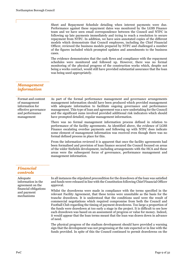Sheet and Repayment Schedule detailing when interest payments were due. Performance against these repayment dates was monitored by the LGSS Finance team and we have seen email correspondence between the Council and NTFC in following up late payments immediately and trying to reach a resolution to secure repayment from NTFC. In addition, we have seen annotated copies of the different models which demonstrate that Council employees, including the Chief Financial Officer, reviewed the business models prepared by NTFC and challenged a number of the figures included which prompted updates and amendments to the business cases.

The evidence demonstrates that the cash flows and compliance with the repayment schedules were monitored and followed up. However, there was no formal monitoring of the physical progress of the construction works which, despite not being a works contract, would still have provided substantial assurance that the loan was being used appropriately.

### *Management information*

| Format and content<br>of management<br>information for<br>effective governance<br>and performance<br>management | As part of the formal performance management and governance arrangements<br>management information should have been produced which provided management<br>with adequate information to facilitate ongoing governance and performance<br>management. This type of loan and agreement was a new undertaking for the Council<br>and the significant sums involved provided additional risk indicators which should<br>have prompted detailed, regular management information. |
|-----------------------------------------------------------------------------------------------------------------|----------------------------------------------------------------------------------------------------------------------------------------------------------------------------------------------------------------------------------------------------------------------------------------------------------------------------------------------------------------------------------------------------------------------------------------------------------------------------|
|                                                                                                                 | There was no formal management information process defined in relation to<br>performance of the facility agreements. As identified above, the evidence of LGSS<br>Finance escalating overdue payments and following up with NTFC does indicate<br>some element of management information was received even though there was no<br>formal defined process in place for this.                                                                                                |
|                                                                                                                 | From the information reviewed it is apparent that once the facility agreements had<br>been formalised and provision of loan finance secured the Council focused on areas<br>of the wider Sixfields development, including arrangements with the HCA and these<br>areas were the subsequent focus of governance, performance management and<br>management information.                                                                                                      |
| <b>Financial</b>                                                                                                |                                                                                                                                                                                                                                                                                                                                                                                                                                                                            |

## *controls*

Adequate information in the agreement on the financial obligations and payment mechanisms In all instances the stipulated precondition for the drawdown of the loan was satisfied and funds were released in line with the Constitution following Chief Financial Officer approval. Whilst the drawdowns were made in compliance with the terms specified in the relevant Facility Agreement, that these terms were unsuitable as the basis for the tranche drawdown. It is understood that the conditions used were the result of commercial negotiations which required compromise from both the Council and Football Club regarding the timing of payment drawdowns. Too large a proportion of the funds were drawdown at too early a stage in the project. It is difficult to see how each drawdown was based on an assessment of progress or value for money. Indeed, it would appear that the loan terms meant that the loan was drawn down in advance of need.

> The physical progress of the stadium development should have provided a warning sign that the development was not progressing at the rate expected or in line with the funds provided. In spite of this the Council continued to permit drawdowns on the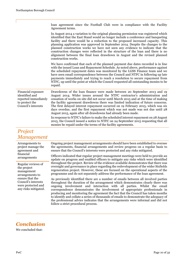| In August 2014 a variation to the original planning permission was registered which<br>identified that the East Stand would no longer include a conference and banqueting<br>facility and there would be a reduction to the proposed increased capacity. This<br>planning application was approved in September 2014. Despite the changes to the<br>planned construction works we have not seen any evidence to indicate that the<br>construction changes were reflected in the structure of the loan and there is no<br>alignment between the final loan drawdown in August and the revised planned<br>construction works. |
|-----------------------------------------------------------------------------------------------------------------------------------------------------------------------------------------------------------------------------------------------------------------------------------------------------------------------------------------------------------------------------------------------------------------------------------------------------------------------------------------------------------------------------------------------------------------------------------------------------------------------------|
| We have confirmed that each of the planned payment due dates recorded is in line<br>with the issued Loan and Repayment Schedule. As noted above, performance against<br>the scheduled repayment dates was monitored by the LGSS Finance team and we<br>have seen email correspondence between the Council and NTFC in following up late<br>payments immediately and trying to reach a resolution to secure repayment from<br>NTFC, up until the point at which the Council requested all outstanding monies to be<br>repaid.                                                                                                |
| Drawdowns of the loan finance were made between 20 September 2013 and 19<br>August 2014. Wider issues around the NTFC contractor's administration and<br>cessation of works on site did not occur until March 2015 and at the time of making<br>the facility agreement drawdowns there was limited indication of future concerns.<br>The first delayed interest repayment occurred on 19 February 2015, which was six<br>days overdue, and the first repayment which was not made was not due until 28<br>August 2015, again after all drawdowns had already been made.                                                     |
| In response to NTFC's failure to make the scheduled interest repayment on 28 August<br>2015, the Council issued a notice to NTFC on 24 September 2015 requesting that all<br>monies be repaid under the terms of the facility agreements.                                                                                                                                                                                                                                                                                                                                                                                   |
|                                                                                                                                                                                                                                                                                                                                                                                                                                                                                                                                                                                                                             |

## *Project Management*

Arrangements to project manage the agreement and financial arrangements Ongoing project management arrangements should have been established to oversee the agreements, financial arrangements and review progress on a regular basis to ensure that the Council's interests were protected and any risks mitigated. Officers indicated that regular project management meetings were held to provide an update on progress and enabled officers to mitigate any risks which were identified throughout the project. Review of the evidence available demonstrates that there was oversight and governance in place regarding the redevelopment of the wider Sixfields regeneration project. However, these are focused on the operational aspects of the programme and do not separately address the performance of the loan agreement. As previously identified there are a number of emails between all involved parties throughout the duration of the arrangement which demonstrates clearly there was ongoing involvement and interaction with all parties. Whilst the email correspondence demonstrates the involvement of appropriate professionals in producing and monitoring the agreement the fact that the Council has taken months to identify and collate a series of thousands of emails to demonstrate the adequacy of the professional advice indicates that the arrangements were informal and did not follow a strict procedural process. Regular reviews of the project management arrangements to ensure that the Council's interests were protected and any risks mitigated.

## *Conclusion*

We concluded that: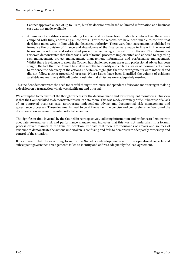- Cabinet approved a loan of up to  $£12m$ , but this decision was based on limited information as a business case was not made available
- A number of conditions were made by Cabinet and we have been unable to confirm that these were complied with fully, addressing all concerns. For these reasons, we have been unable to confirm that decisions taken were in line with the delegated authority. There were loan agreements established to formalise the provision of finance and drawdowns of the finance were made in line with the relevant terms and conditions and established procedures requiring approval from officers. The information reviewed demonstrates that there was a lack of formal processes implemented and adhered to regarding risk management, project management, management information and performance management. Whilst there is evidence to show the Council has challenged some areas and professional advice has been sought, the fact that the Council has taken months to identify and collate a series of thousands of emails to evidence the adequacy of the actions undertaken highlights that the arrangements were informal and did not follow a strict procedural process. Where issues have been identified the volume of evidence available makes it very difficult to demonstrate that all issues were adequately resolved.

This incident demonstrates the need for careful thought, structure, independent advice and monitoring in making a decision on a transaction which was significant and unusual.

We attempted to reconstruct the thought process for the decision made and for subsequent monitoring. Our view is that the Council failed to demonstrate this in its data room. This was made extremely difficult because of a lack of an approved business case, appropriate independent advice and documented risk management and governance processes. These documents need to be at the same time concise and comprehensive. We found the documentation we were presented with to be neither.

The significant time invested by the Council in retrospectively collating information and evidence to demonstrate adequate governance, risk and performance management indicates that this was not undertaken in a formal, process driven manner at the time of inception. The fact that there are thousands of emails and sources of evidence to demonstrate the actions undertaken is confusing and fails to demonstrate adequately ownership and control of the situation.

It is apparent that the overriding focus on the Sixfields redevelopment was on the operational aspects and subsequent governance arrangements failed to identify and address adequately the loan agreement.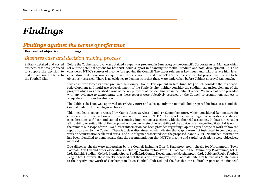## *Findings*

## *Findings against the terms of reference*

#### **Key control objective Findings** *Business case and decision making process* Suitably detailed and costed business case was produced to support the decision to make financing available to the Football Club Before the Cabinet approval was obtained a paper was prepared in June 2013 by the Council's Corporate Asset Manager which set out the potential options for how NBC could support in financing the football stadium and hotel development. This also considered NTFC's sources of income for repaying the Council. The paper references key issues and risks at a very high level, concluding that there was a requirement for a guarantor and that NTFC's income and capital projections needed to be objectively assessed. There is no evidence to demonstrate that these were undertaken before Cabinet approval was sought. Two cash flow forecasts were prepared by County Group Development in late June 2013 which consider the residential redevelopment and multi-use redevelopment of the Sixfields site; neither consider the stadium expansion element of the program which was described as one of the key purposes of the loan finance in the Cabinet report. We have not been provided with any evidence to demonstrate that these reports were objectively assessed by the Council or assumptions subject to adequate scrutiny and evaluation. The Cabinet decision was approved on  $17<sup>th</sup>$  July 2013 and subsequently the football club prepared business cases and the Council undertook due diligence checks. This included a report prepared by Capita Asset Services, dated 17 September 2013, which considered key matters for consideration in connection with the provision of loans to NTFC. The report focuses on legal considerations, state aid considerations, soft loan and capital accounting implications associated with the financial assistance. It does not consider affordability or suitability of the proposed options. Assessing the suitability of the advice taken regarding State Aid is not in the remit of our scope of work. No further information has been provided regarding Capita's agreed scope of work or how the report was used by the Council. There is a clear disclaimer which indicates that Capita were not instructed to complete any work on securitisation/collateral or risk and due diligence associated with the proposed loan to NTFC. No further information has been identified to demonstrate that the recommendation that NTFC's income and capital projections were objectively assessed. Due diligence checks were undertaken by the Council including Dun & Bradstreet credit checks for Northampton Town Football Club Ltd and other associations including: Northampton Town FC Football in the Community Programme, NTFC Ltd, Sixfields Stadium Co Ltd, Premier Sports Stadia Ltd, County Developments (Northampton) Ltd, Cobblers Rugby Football League Ltd. However, these checks identified that the risk of Northampton Town Football Club Ltd's failure was "high" owing to the negative net worth of Northampton Town Football Club Ltd and the fact that the auditor's report on the financial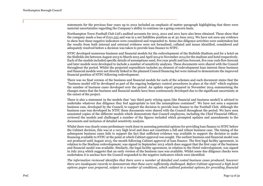statements for the previous four years up to 2012 included an emphasis of matter paragraph highlighting that there were material uncertainties regarding the Company's ability to continue on a going concern basis.

Northampton Town Football Club Ltd's audited accounts for 2013, 2012 and 2011 have also been obtained. These show that the company made a loss of £221,555 and was in a net liabilities position as at 30 June 2013. We have not seen any evidence to show how these negative indicators were considered and responded to. Some due diligence activities were undertaken but the results from both internal and external evidence were not formalised, collated and issues identified, considered and adequately resolved before a decision was taken to provide loan finance to NTFC.

NTFC developed numerous business and financial models for the redevelopment of the Sixfields Stadium and for a hotel on the Sixfields site between August 2013 to March 2015 and April 2014 to November 2014 for the stadium and hotel respectively. Each of the models included specific details of assumptions used, five year profit and loss forecast, five year cash flow forecast and later models were developed to include a number of sensitivity analyses. These documents were shared with the Council throughout the period. Whilst the projected expenditure includes an element of redevelopment loan interest these business and financial models were not directly linked to the planned Council financing but were instead to demonstrate the improved financial position of NTFC following redevelopment.

There was no final version of the business and financial models for each of the schemes and each document states that the "business model will be developed as part of the ongoing budgetary control procedures in place at the club" which explains the number of business cases developed over the period. An update report prepared in November 2014 summarising the changes states that the business and financial models have been continuously developed due to the significant uncertainty at the outset of the project.

There is also a statement in the models that "any third party relying upon [the financial and business model] is advised to undertake whatever due diligence they feel appropriate to test the assumptions contained". We have not seen a separate business case, developed by the Council, to support the decision to provide loan finance to the Football Club. Although the business case was developed by NTFC these documents were shared with the Council throughout the period. We have seen annotated copies of the different models which demonstrate that Council employees, including the Chief Financial Officer, reviewed the models and challenged a number of the figures included which prompted updates and amendments to the documents and inclusion of detailed sensitivity analysis.

Whilst there was clearly some preliminary work done in assessing potential options for providing loan finance to NTFC before the Cabinet decision, this was at a very high level and does not constitute a full and robust business case. The timing of the subsequent business cases fails to support the fact that sufficient evidence was available to support the decision to make financing available to NTFC at the point at which Cabinet approval was sought. The earliest business and financial model was not produced until August 2013, the month following Cabinet approval of loan finance. The first legal facility agreement, in relation to the Stadium redevelopment, was signed in September 2013 which does suggest that the first copy of the business and financial model was available. Similarly, the legal facility agreement, in relation to the Hotel redevelopment, was signed in July 2014 which suggests that an early version of the business case was available. Whilst some due diligence checks were undertaken it is unclear how the Council responded to the negative indicators which were identified.

*The information reviewed identifies that there were a number of detailed and costed business cases produced; however there are inadequate records to demonstrate that these were sufficiently challenged. Before Cabinet approval a high level options paper was prepared, subject to a number of conditions, which outlined potential options for providing financial*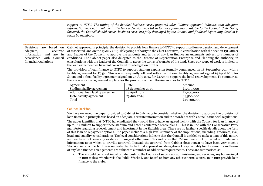*support to NTFC. The timing of the detailed business cases, prepared after Cabinet approval, indicates that adequate information was not available at the time a decision was taken to make financing available to the Football Club. Going forward, the Council should ensure business cases are fully developed by the Council and finalised before any decision is taken by members.*

Decisions are based on adequate, accurate information and are in accordance with Council financial regulations

Cabinet approved in principle, the decision to provide loan finance to NTFC to support stadium expansion and development of associated land on the 13 July 2013, delegating authority to the Chief Executive, in consultation with the Section 151 Officer and Leader of the Council, to approve the amounts and terms of any loan finance arrangements subject to a number of conditions. The Cabinet paper also delegated to the Director of Regeneration Enterprise and Planning the authority, in consultations with the leader of the Council, to agree the terms of transfer of the land. Since our scope of work is limited to the loan agreement we have not considered this delegation further.

The provision of loan finance to NTFC to support stadium expansion formally commenced on 18 September 2013 with a facility agreement for £7.5m. This was subsequently followed with an additional facility agreement signed 14 April 2014 for £1.5m and a final facility agreement signed on 23 July 2014 for £4.5m to support the hotel redevelopment. To summarise, there was a formal agreement in place for the provision of the following monies to NTFC:

| Agreement                          | Date              | Amount      |
|------------------------------------|-------------------|-------------|
| Stadium facility agreement         | 18 September 2013 | £7,500,000  |
| Additional loan facility agreement | 14 April 2014     | £1,500,000  |
| Hotel facility agreement           | 23 July 2014      | £4,500,000  |
| Total                              |                   | £13,500,000 |

#### Cabinet Decision

We have reviewed the paper provided to Cabinet in July 2013 to consider whether the decision to approve the provision of loan finance in principle was based on adequate, accurate information and in accordance with Council's financial regulations.

The paper identifies that "NTFC have indicated they would like to have an agreed facility with the Council for loan finance of up to  $\pounds$ 12 million to support these stadium and hotel / conference centre plans". This is in line with the Conservative Party manifesto regarding redevelopment and investment in the Sixfields area. There are no further, specific details about the form of this loan or repayment options. The paper includes a high level summary of the implications; including: resources, risk, legal and equality considerations. The legal considerations indicate that the Council is entitled to make a loan of this nature and we have not seen any evidence to suggest otherwise. This indicates that Cabinet were not provided with adequate information upon which to provide approval. Instead, the approval from Cabinet does appear to have been very much a 'decision in principle' but this is mitigated by the fact that approval and delegation of responsibility for the amounts and terms of any loan finance arrangements are subject to a number of additional requirements. These are summarised as:

1. There would be no net initial or later costs to the Council of setting up, administering and servicing any borrowing it in turn makes, whether via the Public Works Loans Board or from any other external source, to in turn provide loan finance to the clubs.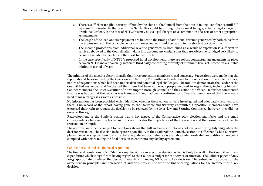- 2. There is sufficient tangible security offered by the clubs to the Council from the time of taking loan finance until full repayment is made. In the case of the Saints this could be through the Council being granted a legal charge on Franklins Gardens. In the case of NTFC this may be via legal charges on a combination of assets or other appropriate arrangements.
- 3. The length of the loan and its repayment are linked to the timing of additional revenue generated by both clubs from the expansion, with the principle being any monies loaned should be repaid in the shortest possible time.
- 4. The income projections from additional revenue generated by both clubs as a result of expansion is sufficient to service debt owed to the Council, after taking into account any capital sums that are, objectively, judged very likely to become available to the clubs in the short to medium term.
- 5. In the case specifically of NTFC"s proposed hotel development, there are robust contractual arrangements in place between NTFC and a financially sufficient third party concerning certainty of minimum levels of income for a suitable minimum period of years.

The minutes of the meeting clearly identify that three opposition members raised concerns. Suggestions were made that the report should be examined by the Overview and Scrutiny Committee with reference to the relocation of the athletics track, nature of negotiations which had been undertaken and potential legal challenges. The minutes demonstrate the Leader of the Council had responded and "explained that there had been numerous people involved in negotiations, including himself, Cabinet Members, the Chief Executive of Northampton Borough Council and the Section 151 Officer. He further commented that he was happy that the decision was transparent and had been scrutinised by officers but emphasised that there was a need to make progress as soon as possible".

No information has been provided which identifies whether these concerns were investigated and adequately resolved, and there is no record of the report having gone to the Overview and Scrutiny Committee. Opposition members could have exercised their right to request the decision to be reviewed by the Overview and Scrutiny Committee, however, they did not exercise this right.

Redevelopment of the Sixfields region was a key aspect of the Conservative 2013 election manifesto and the email correspondence between the leader and officers indicates the importance of the transaction and the desire to conclude the transaction promptly.

The approval in principle subject to conditions shows that full and accurate data was not available during July 2013 when the decision was taken. The decision to delegate responsibility to the Leader of the Council, Section 151 Officer and Chief Executive places the ownership on them to ensure that adequate and accurate data is available to demonstrate the conditions have being complied with before taking the final decision to enter into any facility agreement.

#### Cabinet decision and the financial regulations

The financial regulations of NBC define a key decision as an executive decision which is likely to result in the Council incurring expenditure which is significant having regard to the Council's budget for the service or function. The Cabinet paper of July 2013 appropriately defines the decision regarding financing NTFC as a key decision. The subsequent approval of the agreement in principle, and delegation of authority was in line with the financial regulations for the treatment of a key decision.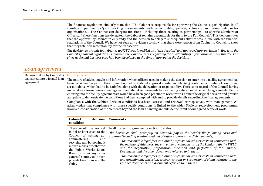The financial regulations similarly state that "The Cabinet is responsible for approving the Council's participation in all significant partnerships/joint working arrangements with other public, private, voluntary and community sector organisations…. The Cabinet can delegate functions - including those relating to partnerships - to specific Members or Officers….Where functions are delegated, the Cabinet remains accountable for them to the Full Council". This demonstrates that the approval by Cabinet in July 2013 and the decision to delegate subsequent activities was in line with the financial regulations of the Council. We have not seen any evidence to show that there were reports from Cabinet to Council to show that they retained accountability for the transaction.

*The decision to provide loan finance to NTFC was identified as a "key decision" and approved appropriately in line with the Council's financial regulations. However, there are concerns regarding the availability of information to make this decision since no formal business case had been developed at the time of approving the decision.*

## *Loan agreement*

Decision taken by Council is translated into a formal loan agreement

#### Officers decision

clubs.

The nature of advice sought and information which officers used in making the decision to enter into a facility agreement has been considered as part of the commentary below. Cabinet approval granted in July 2013 contained a number of conditions, set out above, which had to be satisfied along with the delegation of responsibility. There is no record of the Council having undertaken a formal assessment against the Cabinet requirements before having entered into the facility agreements. Before entering into the facility agreements it would have been good practice to revisit with Cabinet the original decision and provide an update to demonstrate the conditions had been complied with and to provide details regarding the final agreements.

Compliance with the Cabinet decision conditions has been assessed and reviewed retrospectively with management. We acknowledge that compliance with these specific conditions is linked to the wider Sixfields redevelopment programme; however, consideration of the elements beyond the loan financing are outside the remit of our agreed scope of work.

| <b>Cabinet</b><br>condition                                                                                                                                                                                               | decision Comments                                                                                                                                                                                                                                                                                                                                                                                                                                                                                                                       |
|---------------------------------------------------------------------------------------------------------------------------------------------------------------------------------------------------------------------------|-----------------------------------------------------------------------------------------------------------------------------------------------------------------------------------------------------------------------------------------------------------------------------------------------------------------------------------------------------------------------------------------------------------------------------------------------------------------------------------------------------------------------------------------|
| There would be no net<br>initial or later costs to the<br>Council of setting up,<br>administering<br>and<br>servicing any borrowing it<br>in turn makes, whether via<br>the Public Works Loans<br>Board or from any other | In all the facility agreements section 10 states:<br>"the borrower shall, promptly on demand, pay to the Lender the following costs and<br>expenses (including printing and out of office expenses and disbursements):<br>- the reasonable legal fees and other professional adviser costs in connection with<br>the making of Advances, the entry into arrangements by the Lender with the PWLB<br>and the negotiation, preparation, execution and perfection of the Finance<br>Documents and the other documents referred to in them; |
| external source, to in turn<br>provide loan finance to the                                                                                                                                                                | - the reasonable legal fees and other professional adviser costs in connection with<br>any amendment, extension, waiver, consent or suspension of rights relating to the                                                                                                                                                                                                                                                                                                                                                                |

*Finance documents or a document referred to in them."*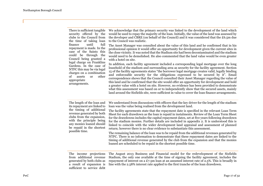| There is sufficient tangible.<br>security offered by the<br>clubs to the Council from<br>the time of taking loan<br>finance<br>until<br>full<br>repayment is made. In the<br>case of the Saints this<br>could be through the<br>Council being granted a<br>legal charge on Franklins<br>Gardens. In the case of<br>NTFC this may be via legal<br>charges on a combination<br>of<br>assets<br>other<br><sub>or</sub><br>appropriate<br>arrangements. | We acknowledge that the primary security was linked to the development of the land which<br>would be used to repay the majority of the loan. Initially, the value of the land was assessed by<br>the developer and CBRE (on behalf of the Council) and it was considered that the £6.5m due<br>to the Council was realistic.<br>The Asset Manager was consulted about the value of this land and he confirmed that in his<br>professional opinion it would offer an opportunity for development given the current sites in<br>the close vicinity. It was noted that the Stadium site had been decontaminated and the stadium<br>would need to be demolished. He also commented that the land value would be even greater<br>with a hotel on site.<br>In addition, each facility agreement included a corresponding legal mortgage over the long<br>leasehold of the stadium and surrounding area as security for the facility agreement. Section<br>15 of the facility agreements states "the borrower legal mortgage creates valid, legally binding<br>and enforceable security for the obligations expressed to be secured by it". Email<br>correspondence shows that the Council consulted their Asset Manager regarding the value of<br>this land and he confirmed that the site would offer an opportunity for development and hold<br>a greater value with a hotel on site. However, no evidence has been provided to demonstrate<br>what this assessment was based on or to independently show that the secured assets, mainly<br>land around the Sixfields site, were sufficient in value to cover the loan finance arrangements. |  |
|-----------------------------------------------------------------------------------------------------------------------------------------------------------------------------------------------------------------------------------------------------------------------------------------------------------------------------------------------------------------------------------------------------------------------------------------------------|-------------------------------------------------------------------------------------------------------------------------------------------------------------------------------------------------------------------------------------------------------------------------------------------------------------------------------------------------------------------------------------------------------------------------------------------------------------------------------------------------------------------------------------------------------------------------------------------------------------------------------------------------------------------------------------------------------------------------------------------------------------------------------------------------------------------------------------------------------------------------------------------------------------------------------------------------------------------------------------------------------------------------------------------------------------------------------------------------------------------------------------------------------------------------------------------------------------------------------------------------------------------------------------------------------------------------------------------------------------------------------------------------------------------------------------------------------------------------------------------------------------------------------------------------------------------------------------------------------------------------------------------|--|
| The length of the loan and<br>its repayment are linked to<br>the timing of additional<br>revenue generated by both<br>clubs from the expansion,<br>with the principle being<br>any monies loaned should<br>be repaid in the shortest<br>possible time.                                                                                                                                                                                              | We understand from discussions with officers that the key driver for the length of the stadium<br>loan was the value being realised from the development land.<br>The facility agreements state that the repayment date is specified in the relevant Loan Term<br>Sheet for each drawdown as the loan is repaid in instalments. Review of the Loan Term Sheet<br>for the drawdowns includes the capital repayment dates, set at five years following drawdown<br>for the stadium monies. Further details are included in appendix 2. It is understood this is<br>linked to coincide with the wider development land appraisal and assessment of planned<br>return; however there is no clear evidence to substantiate this assessment.<br>The remaining balance of the loan was to be repaid from the additional revenues generated by<br>NTFC. There is no information to demonstrate that these repayment dates are linked to the<br>timing of additional revenue generated by the club from the expansion and that the monies<br>loaned are scheduled to be repaid in the shortest possible time.                                                                                                                                                                                                                                                                                                                                                                                                                                                                                                                                      |  |
| The income projections<br>from additional revenue<br>generated by both clubs as<br>a result of expansion is<br>sufficient to service debt                                                                                                                                                                                                                                                                                                           | The August 2013 Business and Financial model for the redevelopment of the Sixfields<br>Stadium, the only one available at the time of signing the facility agreement, includes the<br>repayment of interest on a £7.5m loan at an assumed interest rate of 2.5%. This is broadly in<br>line with the 2.58% interest rate applied to the first tranche of the loan drawdown.                                                                                                                                                                                                                                                                                                                                                                                                                                                                                                                                                                                                                                                                                                                                                                                                                                                                                                                                                                                                                                                                                                                                                                                                                                                               |  |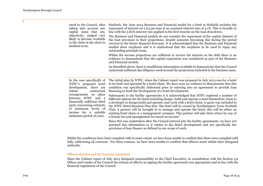| medium term. | owed to the Council, after<br>taking into account any<br>capital sums that are,<br>objectively, judged very<br>likely to become available<br>to the clubs in the short to              | Similarly, the June 2014 Business and Financial model for a hotel at Sixfields includes the<br>repayment of interest on a £4.5m loan at an assumed interest rate of 4.1%. This is broadly in<br>line with the 3.82% interest rate applied to the first tranche on the loan drawdown.<br>The Business and Financial models do not consider the repayment of the capital element of<br>the loan provision in their projections, despite amounts becoming due during the period<br>covered in the future financial forecasts. It is acknowledged that the Business and Financial<br>models show surpluses and it is understood that the surpluses to be used to repay any<br>outstanding principle loans.<br>Whilst the income projections are sufficient to service the interest on the debt there is no<br>evidence to demonstrate that the capital repayment was considered as part of the Business<br>and Financial models. |
|--------------|----------------------------------------------------------------------------------------------------------------------------------------------------------------------------------------|------------------------------------------------------------------------------------------------------------------------------------------------------------------------------------------------------------------------------------------------------------------------------------------------------------------------------------------------------------------------------------------------------------------------------------------------------------------------------------------------------------------------------------------------------------------------------------------------------------------------------------------------------------------------------------------------------------------------------------------------------------------------------------------------------------------------------------------------------------------------------------------------------------------------------|
|              |                                                                                                                                                                                        | As identified above, there is insufficient information available to demonstrate that the Council<br>undertook sufficient due diligence work around the projections included in the business cases.                                                                                                                                                                                                                                                                                                                                                                                                                                                                                                                                                                                                                                                                                                                           |
| robust       | In the case specifically of<br>NTFC"s proposed hotel<br>development, there are<br>contractual                                                                                          | The initial plan by NTFC, when the Cabinet report was prepared in July 2013 was for a hotel<br>to be built and operated by a hotel chain. We have seen no evidence to demonstrate that this<br>condition was specifically addressed prior to entering into an agreement to provide loan<br>financing to fund the development of a hotel development.                                                                                                                                                                                                                                                                                                                                                                                                                                                                                                                                                                         |
|              | arrangements in place<br>between NTFC and a<br>financially sufficient third<br>party concerning certainty<br>of minimum levels of<br>income for a suitable<br>minimum period of years. | Subsequent to the facility agreements it is acknowledged that NTFC explored a number of<br>different options for the hotel including design, build and operate a hotel themselves; lease to<br>a developer to design build and operate; and work with a hotel chain. A quote was included in<br>the NTFC Hotel Business Plan that "the hotel will be owned by Northampton Town Football<br>Club. A partner will be brought in to manage and operate the hotel; this will be either an<br>existing hotel chain or a management company. This partner will take their return by way of<br>a license fee and management fee based on income".<br>Since this was undertaken after the Council entered into the facility agreements, we have not                                                                                                                                                                                  |

Whilst the conditions have been complied with to some extent, we have been unable to confirm that these were complied with fully, addressing all concerns. For these reasons, we have been unable to confirm that officers acted within their delegated authority.

#### Officers decision and the financial regulations

Since the Cabinet report of July 2013 delegated responsibility to the Chief Executive, in consultation with the Section 151 Officer and Leader of the Council the actions of officers in signing the facility agreement was appropriate and in line with the financial regulations of the Council.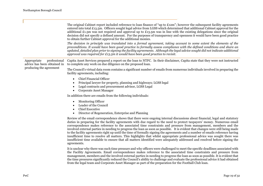|                                                            | The original Cabinet report included reference to loan finance of "up to $E12m$ "; however the subsequent facility agreements<br>entered into total £13.5m. Officers sought legal advice from LGSS which determined that additional Cabinet approval for the<br>additional £1.5m was not required and approval up to £13.5m was in line with the existing delegations since the original<br>decision did not specify a defined amount. For the purposes of transparency and openness it would have been good practice<br>to obtain further Cabinet approval for the additional monies.<br>The decision in principle was translated into a formal agreement, taking account to some extent the elements of the<br>preconditions. It would have been good practice to formally assess compliance with the defined conditions and share an                                                                                  |  |  |  |
|------------------------------------------------------------|--------------------------------------------------------------------------------------------------------------------------------------------------------------------------------------------------------------------------------------------------------------------------------------------------------------------------------------------------------------------------------------------------------------------------------------------------------------------------------------------------------------------------------------------------------------------------------------------------------------------------------------------------------------------------------------------------------------------------------------------------------------------------------------------------------------------------------------------------------------------------------------------------------------------------|--|--|--|
|                                                            | updated, detailed plan prior to signing the facility agreements. Although the legal advice sought did not indicate additional<br>approval was required for £13.5m it would have been good practice to revisit.                                                                                                                                                                                                                                                                                                                                                                                                                                                                                                                                                                                                                                                                                                           |  |  |  |
| Appropriate<br>professional<br>advice has been obtained in | Capita Asset Services prepared a report on the loan to NTFC. In their disclaimer, Capita state that they were not instructed<br>to complete any work on due diligence on the proposed loan.                                                                                                                                                                                                                                                                                                                                                                                                                                                                                                                                                                                                                                                                                                                              |  |  |  |
| producing the agreement                                    | The Council's virtual data room contains a significant number of emails from numerous individuals involved in preparing the<br>facility agreements, including:                                                                                                                                                                                                                                                                                                                                                                                                                                                                                                                                                                                                                                                                                                                                                           |  |  |  |
|                                                            | <b>Chief Financial Officer</b><br>$\bullet$<br>Principal lawyer for property, planning and highways; LGSS legal<br>Legal contracts and procurement advisor, LGSS Legal<br>Corporate Asset Manager<br>$\bullet$                                                                                                                                                                                                                                                                                                                                                                                                                                                                                                                                                                                                                                                                                                           |  |  |  |
|                                                            | In addition there are emails from the following individuals:                                                                                                                                                                                                                                                                                                                                                                                                                                                                                                                                                                                                                                                                                                                                                                                                                                                             |  |  |  |
|                                                            | <b>Monitoring Officer</b><br>$\bullet$<br>Leader of the Council<br><b>Chief Executive</b><br>Director of Regeneration, Enterprise and Planning                                                                                                                                                                                                                                                                                                                                                                                                                                                                                                                                                                                                                                                                                                                                                                           |  |  |  |
|                                                            | Review of the email correspondence shows that there were ongoing internal discussions about financial, legal and statutory<br>duties in preparing for the facility agreements with due regard to the need to protect taxpayers' money. Numerous email<br>correspondence makes reference to the associated time constraints and pressure from management, members and the<br>involved external parties in needing to progress the loan as soon as possible. It is evident that changes were still being made<br>to the facility agreements right up until the time of formally signing the agreements and a number of emails reference having<br>insufficient time to resolve all matters. This highlights that whilst appropriate professional advice was sought there was<br>insufficient time available to ensure that all matters identified were adequately addressed and resolved before signing the<br>agreements. |  |  |  |
|                                                            | It is unclear why there was such time pressure and why officers were challenged to meet the specific deadlines associated with                                                                                                                                                                                                                                                                                                                                                                                                                                                                                                                                                                                                                                                                                                                                                                                           |  |  |  |

It is unclear why there was such time pressure and why officers were challenged to meet the specific deadlines associated with the Facility Agreements. Email correspondence makes reference to the associated time constraints and pressure from management, members and the involved external parties in needing to progress the loan as soon as possible. It is evident that the time pressures significantly reduced the Council's ability to challenge and evaluate the professional advice it had obtained from the legal team and Corporate Asset Manager as part of the preparation for the Football Club loan.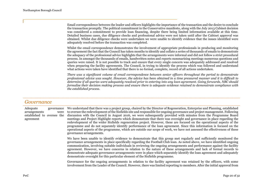Email correspondence between the leader and officers highlights the importance of the transaction and the desire to conclude the transaction promptly. The political commitment in the Conservative manifesto, along with the July 2013 Cabinet decision was considered a commitment to provide loan financing, despite there being limited information available at this time. Detailed business cases, due diligence checks and professional advice were not taken until after the Cabinet approval was obtained. Whilst due diligence checks were undertaken we were unable to identify evidence that the issues identified were adequately resolved before the transaction was completed.

Whilst the email correspondence demonstrates the involvement of appropriate professionals in producing and monitoring the agreement the fact that the Council has taken months to identify and collate a series of thousands of emails to demonstrate the adequacy of the professional advice highlights that the arrangements were informal and did not follow a strict procedural process. In amongst the thousands of emails, handwritten notes and reports summarising meetings numerous questions and queries were raised. It is not possible to track and ensure that every single concern was adequately addressed and resolved when preparing the facility agreements. The Council, in trying to identify the process which was followed and understand what actions were taken have identified that there is no formal, complete, record of all actions undertaken.

*There was a significant volume of email correspondence between senior officers throughout the period to demonstrate professional advice was sought. However, the advice has been obtained in a time pressured manner and it is difficult to determine if all queries were adequately resolved prior to entering into any loan agreement. Going forwards, NBC should formalise their decision making process and ensure there is adequate evidence retained to demonstrate compliance with the established process.*

### *Governance*

Adequate governance arrangements were established to oversee the agreement We understand that there was a project group, chaired by the Director of Regeneration, Enterprise and Planning, established to oversee the redevelopment of the Sixfields site and responsible for ongoing governance and project management. Following discussion with the Council in August 2016, we were subsequently provided with minutes from the Programme Board meetings and Project Highlight reports which demonstrate that there was oversight and governance in place regarding the redevelopment of the wider Sixfields regeneration project. However, these are focused on the operational aspects of the programme and do not separately identify performance of the loan agreement. Since this information is focused on the operational aspects of the programme, which are outside our scope of work, we have not assessed the effectiveness of these governance arrangements.

> We have been unable to identify evidence to demonstrate that this group met regularly and sufficiently monitored the governance arrangements in place specifically regarding the Football Club loan. As noted above, we have identified ongoing communication, involving suitable individuals in reviewing the ongoing arrangements and performance against the facility agreement. However, we have concerns in relation to the nature of these arrangements and lack of formal records to demonstrate adequate governance arrangements were in place which separately identify the loan agreement and adequately demonstrate oversight for this particular element of the Sixfields programme.

> Governance for the ongoing arrangements in relation to the facility agreement was retained by the officers, with some involvement from the Leader of the Council. However, there was limited reporting to members. After the initial approval from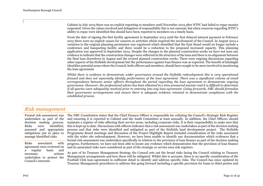Cabinet in July 2013 there was no explicit reporting to members until November 2015 after NTFC had failed to repay monies requested. Given the values involved and delegation of responsibility this is not unusual, but when concerns regarding NTFC's ability to repay were identified this should have been reported to members on a timely basis.

From the date of signing the first facility agreement in September 2013 until the first delayed interest payment in February 2015 there were no explicit causes for concern or activities which required the involvement of the Council. In August 2014 a variation to the original planning permission was registered which identified that the East Stand would no longer include a conference and banqueting facility and there would be a reduction to the proposed increased capacity. This planning application was approved in September 2014. Despite the changes to the planned construction works we have not seen any evidence to indicate that the construction changes were reflected in the structure of the loan and there is no alignment between the final loan drawdown in August and the revised planned construction works. There were ongoing discussions regarding other aspects of the Sixfields development but the performance against loan finance was as expected. The benefit of hindsight identifies potential areas where the Council, both officers and members, should have sought to be more involved in monitoring the loan agreement.

*Whilst there is evidence to demonstrate wider governance around the Sixfields redevelopment this is very operational focused and does not separately identify performance of the loan agreement. There was a significant volume of email correspondence between senior officers throughout the period regarding the loan agreement to demonstrate ongoing governance. However, the professional advice has been obtained in a time pressured manner and it is difficult to determine if all queries were adequately resolved prior to entering into any loan agreement. Going forwards, NBC should formalise their governance arrangements and ensure there is adequate evidence retained to demonstrate compliance with the established process.*

## *Risk management*

Formal risk assessment was undertaken as part of the decision making process. Risks were identified, assessed and appropriate mitigations put in place to manage identified risks

Risks associated with agreement were reviewed on a regular basis and necessary actions undertaken to protect the Council's interests

The NBC Constitution states that the Chief Finance Officer is responsible for collating the Council's Strategic Risk Register and ensuring it is reported to Cabinet and the Audit Committee at least annually. In addition, the Chief Officers should maintain a register of risks affecting their service areas, including corporate risks. It is their responsibility to make sure that this is kept up to date. Discussions with officers indicates that a risk assessment was undertaken as part of the decision making process and that risks were identified and mitigated as part of the Sixfields land development project. The Sixfields Programme Board meetings and discussion of the Project Highlight Report included consideration of the risks associated with the wider site redevelopment. However, we have been unable to identify any documentation which evidences that a formal risk assessment was undertaken specifically in relation to the provision of loan finance as part of the decision making progress. Furthermore, we have not been able to locate any evidence which demonstrates that the provision of loan finance and its associated risks were considered as part of the strategic or service area risk registers.

As part of its Treasury Management Strategy the Council sets out the broad risks facing the Council relating to Treasury Management arrangements and how these will be mitigated. Whilst this is accurate, there is no specific consideration of the Football Club loan agreement in sufficient detail to identify and address specific risks. The Council has since updated its Treasury Management procedures to address this going forward including a specific provision for loans to third parties and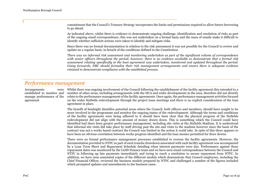commitment that the Council's Treasury Strategy incorporates the limits and permissions required to allow future borrowing to go ahead.

As indicated above, whilst there is evidence to demonstrate ongoing challenge, identification and resolution of risks as part of the ongoing email correspondence, this was not undertaken on a formal basis and the mass of emails make it difficult to identify whether sufficient actions were taken to identify and mitigate risks.

Since there was no formal documentation in relation to the risk assessment it was not possible for the Council to review and update on a regular basis, in breach of the conditions defined in the Constitution.

*There was an informal risk assessment and monitoring undertaken as part of the significant volume of correspondence with senior officers throughout the period; however, there is no evidence available to demonstrate that a formal risk assessment relating specifically to the loan agreement was undertaken, monitored and updated throughout the period. Going forwards, NBC should formalise their risk management arrangements and ensure there is adequate evidence retained to demonstrate compliance with the established process.*

## *Performance management*

Arrangements established to monitor and manage performance of the relate to the performance management of the facility agreements. Once again, the performance management activities focused agreement Whilst there was ongoing involvement of the Council following the establishment of the facility agreement this extended to a number of other areas, including arrangements with the HCA and wider developments in the area, therefore did not directly on the wider Sixfields redevelopment through the project team meetings and there is no explicit consideration of the loan agreement in place. The benefit of hindsight identifies potential areas where the Council, both officers and members, should have sought to be more involved in the programme and monitor the ongoing status of the redevelopment. Although the terms and conditions of the facility agreements were being adhered to it should have been clear that the physical progress of the Sixfields redevelopment did not align with the amount of money drawn down. This is something which the Council could have identified had there been greater performance management, including site visits at the Sixfields Stadium. It is understood that informal site visits did take place by staff driving past the site and visits to the stadium however since the basis of the contract was not a works based contract the Council was limited in the action it could take. In spite of this there appears to have been no obvious correlation between works progress identified and the loan monies permitted for draw downs. There were no formal performance management processes established to oversee the facility agreements. However, the documentation provided to NTFC as part of each tranche drawdown associated with each facility agreement was accompanied by a Loan Term Sheet and Repayment Schedule detailing when interest payments were due. Performance against these repayment dates was monitored by the LGSS Finance team and we have seen email correspondence between the Council and NTFC in following up late payments immediately and trying to reach a resolution to secure repayment from NTFC. In addition, we have seen annotated copies of the different models which demonstrate that Council employees, including the Chief Financial Officer, reviewed the business models prepared by NTFC and challenged a number of the figures included which prompted updates and amendments to the business cases.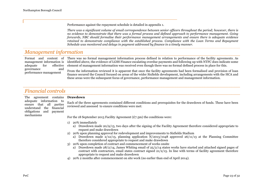Performance against the repayment schedule is detailed in appendix 1.

*There was a significant volume of email correspondence between senior officers throughout the period; however, there is no evidence to demonstrate that there was a formal process and defined approach to performance management. Going forwards, NBC should formalise their performance management arrangements and ensure there is adequate evidence retained to demonstrate compliance with the established process. Compliance with the Loan Terms and Repayment Schedule was monitored and delays in payment addressed by finance in a timely manner.*

## *Management information*

management information is adequate for effective governance and performance management

Format and content of There was no formal management information process defined in relation to performance of the facility agreements. As identified above, the evidence of LGSS Finance escalating overdue payments and following up with NTFC does indicate some element of management information was received even though there was no formal defined process in place for this.

> From the information reviewed it is apparent that once the facility agreements had been formalised and provision of loan finance secured the Council focused on areas of the wider Sixfields development, including arrangements with the HCA and these areas were the subsequent focus of governance, performance management and management information.

### *Financial controls*

The agreement contains **Drawdown** adequate information to ensure that all parties understand the financial obligations and payment mechanisms

Each of the three agreements contained different conditions and prerequisites for the drawdown of funds. These have been reviewed and assessed to ensure conditions were met:

For the 18 September 2013 Facility Agreement  $(\text{\textsterling}7,5m)$  the conditions were:

- 1) 20% immediately
	- a) Drawdown made 20/9/13, two days after the signing of the Facility Agreement therefore considered appropriate to request and make drawdown
- 2) 20% upon planning approval for redevelopment and improvements to Sixfields Stadium
	- a) Drawdown made  $2/12/13$ , planning application  $N/2013/1048$  approved  $26/11/13$  at the Planning Committee therefore considered appropriate to request and make drawdown
- 3) 20% upon completion of contract and commencement of works onsite
	- a) Drawdown made 28/2/14, James Whiting email of 25/2/14 states works have started and attached signed pages of contract with contractors, email states contract signed  $21/2/15$ . In line with terms of facility agreement therefore appropriate to request and make drawdown
- 4) 20% 2 months after commencement on site work (no earlier than end of April 2014).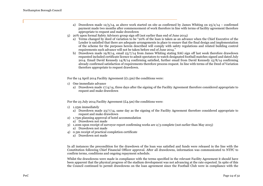- a) Drawdown made 12/5/14, as above work started on site as confirmed by James Whiting on  $25/2/14$  confirmed payment made two months after commencement of work therefore in line with terms of facility agreement therefore appropriate to request and make drawdown
- 5) 20% upon formal Safety Advisory group sign off (not earlier than end of June 2014)
	- a) Terms changed by deed of variation to be "20% of the loan is taken as an advance when the Chief Executive of the Lender is satisfied that there are adequate arrangements in place to ensure that the final design and implementation of the scheme for the purposes herein described will comply with safety regulations and related building control requirements such advance will not be taken before end of June 2014."
	- b) Drawdown made 19/8/14, email 23/7/14 from James Whiting stating SAG sign off last week therefore drawdown requested included certificate licence to admit spectators to watch designated football matches signed and dated July 2014. Email David Kennedy 14/8/14 confirming satisfied, further email from David Kennedy 15/8/14 confirming already confirmed satisfaction of requirements therefore process request. In line with terms of the Deed of Variation therefore appropriate to request drawdown.

For the 14 April 2014 Facility Agreement  $(\text{\pounds}_{1.5m})$  the conditions were:

- 1) One immediate advance
	- a) Drawdown made 17/4/14, three days after the signing of the Facility Agreement therefore considered appropriate to request and make drawdown

For the 23 July 2014 Facility Agreement  $(£4.5m)$  the conditions were:

- 1) 1.25m immediately
	- a) Drawdown made 23/7/14, same day as the signing of the Facility Agreement therefore considered appropriate to request and make drawdown
- 2) 1.75m planning approval of hotel accommodation
	- a) Drawdown not made
- 3) 1.20m upon receipt of surveyor report confirming works are 2/3 complete (not earlier than May 2015)
	- a) Drawdown not made
- 4) 0.3m receipt of practical completion certificate
	- a) Drawdown not made

In all instances the precondition for the drawdown of the loan was satisfied and funds were released in the line with the Constitution following Chief Financial Officer approval. After all drawdowns, information was communicated to NTFC to confirm terms, conditions and ongoing repayment schedule.

Whilst the drawdowns were made in compliance with the terms specified in the relevant Facility Agreement it should have been apparent that the physical progress of the stadium development was not advancing at the rate expected. In spite of this the Council continued to permit drawdowns on the loan agreement since the Football Club were in compliance with the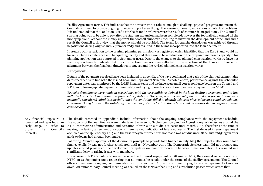|                                                                                                                                   | Facility Agreement terms. This indicates that the terms were not robust enough to challenge physical progress and meant the<br>Council continued to provide ongoing financial support even though there were some early indications of potential problems.<br>It is understood that the conditions used as the basis for drawdowns were the result of commercial negotiations. The Council's<br>starting point was to be able to pay after the stadium expansion had been completed; however the football club wanted all the<br>money up front. Without the money up front the football club were unwilling to invest in the development of the land and a<br>result the Council took a view that the money should be provided. The terms for tranche drawdowns was achieved through<br>negotiations during August and September 2013 and resulted in the terms incorporated into the loan document. |
|-----------------------------------------------------------------------------------------------------------------------------------|-------------------------------------------------------------------------------------------------------------------------------------------------------------------------------------------------------------------------------------------------------------------------------------------------------------------------------------------------------------------------------------------------------------------------------------------------------------------------------------------------------------------------------------------------------------------------------------------------------------------------------------------------------------------------------------------------------------------------------------------------------------------------------------------------------------------------------------------------------------------------------------------------------|
|                                                                                                                                   | In August 2014 a variation to the original planning permission was registered which identified that the East Stand would no<br>longer include a conference and banqueting facility and there would be a reduction to the proposed increased capacity. This<br>planning application was approved in September 2014. Despite the changes to the planned construction works we have not<br>seen any evidence to indicate that the construction changes were reflected in the structure of the loan and there is no<br>alignment between the final loan drawdown in August and the revised planned construction works.                                                                                                                                                                                                                                                                                    |
|                                                                                                                                   | <b>Repayment</b>                                                                                                                                                                                                                                                                                                                                                                                                                                                                                                                                                                                                                                                                                                                                                                                                                                                                                      |
|                                                                                                                                   | Details of the payments received have been included in appendix 1. We have confirmed that each of the planned payment due<br>dates recorded is in line with the issued Loan and Repayment Schedule. As noted above, performance against the scheduled<br>repayment dates was monitored by the LGSS Finance team and we have seen email correspondence between the Council and<br>NTFC in following up late payments immediately and trying to reach a resolution to secure repayment from NTFC.                                                                                                                                                                                                                                                                                                                                                                                                       |
|                                                                                                                                   | Tranche drawdowns were made in accordance with the preconditions defined in the loan facility agreements and in line<br>with the Council's Constitution and financial regulations. However, it is unclear why the drawdown preconditions were<br>originally considered suitable, especially since the conditions failed to identify delays in physical progress and drawdowns<br>continued. Going forward, the suitability and adequacy of tranche drawdown terms and conditions should be given greater<br>consideration.                                                                                                                                                                                                                                                                                                                                                                            |
| Any financial exposure is<br>identified and reported at an<br>early stage in order to<br>the<br>Council's<br>protect<br>interests | The details recorded in appendix 1 include information about the ongoing compliance with the repayment schedule.<br>Drawdowns of the loan finance were undertaken between 20 September 2013 and 19 August 2014. Wider issues around the<br>NTFC contractor's administration and cessation of works on site did not occur until March 2015, therefore at the time of<br>making the facility agreement drawdowns there was no indication of future concerns. The first delayed interest repayment<br>occurred on the 19 February 2015 and the first repayment which was not made was not due until 28 August 2015; again after<br>all drawdowns had already been made.                                                                                                                                                                                                                                  |
|                                                                                                                                   | Following Cabinet's approval of the decision in principle to provide loan finance in July 2013 the subject matter round loan<br>finance explicitly was not further considered until 2 <sup>nd</sup> November 2015. The Democratic Services team did not prepare any<br>updates around progress of the development or updates on loan drawdowns in between these two dates. This resulted in a<br>significant delay in raising issues with members.                                                                                                                                                                                                                                                                                                                                                                                                                                                    |
|                                                                                                                                   | In response to NTFC's failure to make the scheduled interest repayment on 28 August 2015, the Council issued a notice to<br>NTFC on 24 September 2015 requesting that all monies be repaid under the terms of the facility agreements. The Council<br>officers maintained ongoing communication with the Football Club and continued trying to receive repayment of monies<br>owed. An extraordinary Council meeting was called on the 2 November 2015 and a resolution passed which states that:                                                                                                                                                                                                                                                                                                                                                                                                     |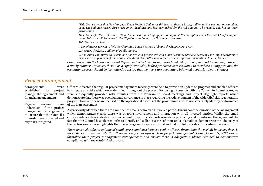*"This Council notes that Northampton Town Football Club owes this local authority £10.25 million and as yet has not repaid the debt. The club has missed three repayment deadlines and has been asked for the full amount to be repaid. This has not been forthcoming.*

*This Council further notes that HMRC has issued a winding up petition against Northampton Town Football Club for unpaid taxes. This case will be heard in the High Court in London on November 16th 2015.*

*This Council resolves to:*

*1. Do whatever we can to help Northampton Town Football Club and the Supporters' Trust.*

*2. Retrieve the £10.25 million of public money.*

*3. Ask Audit committee to review our policies and procedures and make recommendations necessary for implementation in business arrangements of this nature. The Audit Committee would then present any recommendations to Full Council."*

*Compliance with the Loan Terms and Repayment Schedule was monitored and delays in payment addressed by finance in a timely manner. However, there was a significant delay before problems were escalated to Members. Going forward, the escalation process should be formalised to ensure that members are adequately informed about significant changes.*

## *Project management*

Arrangements established to project manage the agreement and financial arrangements

Regular reviews were undertaken of the project management arrangements to ensure that the Council's interests were protected and any risks mitigated.

Officers indicated that regular project management meetings were held to provide an update on progress and enabled officers to mitigate any risks which were identified throughout the project. Following discussion with the Council in August 2016, we were subsequently provided with minutes from the Programme Board meetings and Project Highlight reports which demonstrate that there was oversight and governance in place regarding the redevelopment of the wider Sixfields regeneration project. However, these are focused on the operational aspects of the programme and do not separately identify performance of the loan agreement

As previously identified there are a number of emails between all involved parties throughout the duration of the arrangement which demonstrates clearly there was ongoing involvement and interaction with all invested parties. Whilst the email correspondence demonstrates the involvement of appropriate professionals in producing and monitoring the agreement the fact that the Council has taken months to identify and collate a series of thousands of emails to demonstrate the adequacy of the professional advice highlights that the arrangements were informal and did not follow a strict procedural process.

*There was a significant volume of email correspondence between senior officers throughout the period; however, there is no evidence to demonstrate that there was a formal approach to project management. Going forwards, NBC should formalise their project management arrangements and ensure there is adequate evidence retained to demonstrate compliance with the established process.*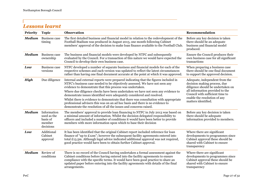## *Lessons learnt*

| Priority      | <b>Topic</b>                                                  | <b>Observation</b>                                                                                                                                                                                                                                                                                                                                                                                                                                                                                                                                                                                                                           | Recommendation                                                                                                                                                                                                                   |
|---------------|---------------------------------------------------------------|----------------------------------------------------------------------------------------------------------------------------------------------------------------------------------------------------------------------------------------------------------------------------------------------------------------------------------------------------------------------------------------------------------------------------------------------------------------------------------------------------------------------------------------------------------------------------------------------------------------------------------------------|----------------------------------------------------------------------------------------------------------------------------------------------------------------------------------------------------------------------------------|
| <b>Medium</b> | <b>Business case</b><br>timing                                | The first detailed business and financial model in relation to the redevelopment of the<br>Football Stadium was produced in August 2013, one month following Cabinet<br>members' approval of the decision to make loan finance available to the Football Club.                                                                                                                                                                                                                                                                                                                                                                               | Before any key decision is taken<br>there should be an adequate<br>business and financial model<br>produced.                                                                                                                     |
| <b>Medium</b> | <b>Business case</b><br>ownership                             | The business and financial models were developed by NTFC and subsequently<br>evaluated by the Council. For a transaction of this nature we would have expected the<br>Council to develop their own business case.                                                                                                                                                                                                                                                                                                                                                                                                                            | Ensure the Council produces their<br>own business case for all significant<br>transactions                                                                                                                                       |
| Low           | <b>Business case</b><br>versions                              | NTFC developed a number of separate business and financial models for each of the<br>respective schemes and each version was updated to reflect the latest circumstances<br>rather than having one final document accurate at the point at which it was approved.                                                                                                                                                                                                                                                                                                                                                                            | When preparing a business case<br>there should be one final document<br>to support the approved decision.                                                                                                                        |
| <b>High</b>   | Due diligence                                                 | Internal and external reports were prepared indicating that the figures included in<br>NTFC's business case needed to be objectively assessed. We have not seen any<br>evidence to demonstrate that this process was undertaken.<br>Where due diligence checks have been undertaken we have not seen any evidence to<br>demonstrate issues identified were adequately considered and resolved.<br>Whilst there is evidence to demonstrate that there was consultation with appropriate<br>professional advisers this was on an ad hoc basis and there is no evidence to<br>demonstrate the resolution of all the issues and concerns raised. | Adequate, independent from the<br>decision making process, due<br>diligence should be undertaken on<br>all information provided to the<br>Council with sufficient time to<br>enable the resolution of any<br>matters identified. |
| <b>Medium</b> | Information<br>used as the<br>basis of<br>member<br>decisions | The members' approval to provide loan financing to NTFC in July 2013 was based on<br>a minimal amount of information. Whilst the decision delegated responsibility to<br>officers and included a number of conditions it would have been better to provide<br>members with more information upon which to base their decision                                                                                                                                                                                                                                                                                                                | Before any key decision is taken<br>there should be adequate<br>information provided to members.                                                                                                                                 |
| Low           | Additional<br>Cabinet<br>approval                             | It has been identified that the original Cabinet report included reference for loan<br>finance of "up to $£12m$ "; however the subsequent facility agreements entered into<br>total £13.5m. Although legal advice indicated additional approval was not required,<br>good practice would have been to obtain further Cabinet approval.                                                                                                                                                                                                                                                                                                       | Where there are significant<br>developments to programmes since<br>Cabinet approval these should be<br>shared with Cabinet to ensure<br>transparency                                                                             |
| <b>Medium</b> | Review of<br>conditions                                       | There is no record of the Council having undertaken a formal assessment against the<br>Cabinet conditions before having entered into the facility agreements to ensure<br>compliance with the specific terms. It would have been good practice to share an<br>updated paper before entering into the facility agreements with details of the final<br>arrangements.                                                                                                                                                                                                                                                                          | Where there are significant<br>developments to programmes since<br>Cabinet approval these should be<br>shared with Cabinet to ensure<br>transparency                                                                             |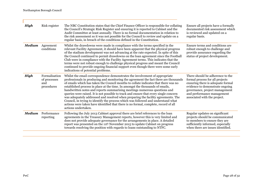л

| <b>High</b>   | Risk register                                      | The NBC Constitution states that the Chief Finance Officer is responsible for collating<br>the Council's Strategic Risk Register and ensuring it is reported to Cabinet and the<br>Audit Committee at least annually. There is no formal documentation in relation to<br>the risk assessment so it was not possible for the Council to review and update on a<br>regular basis, in breach of the conditions defined in the Constitution.                                                                                                                                                                                                                                                                                                                                                                  | Ensure all projects have a formally<br>documented risk assessment which<br>is reviewed and updated on a<br>regular basis.                                                                                                                   |
|---------------|----------------------------------------------------|-----------------------------------------------------------------------------------------------------------------------------------------------------------------------------------------------------------------------------------------------------------------------------------------------------------------------------------------------------------------------------------------------------------------------------------------------------------------------------------------------------------------------------------------------------------------------------------------------------------------------------------------------------------------------------------------------------------------------------------------------------------------------------------------------------------|---------------------------------------------------------------------------------------------------------------------------------------------------------------------------------------------------------------------------------------------|
| <b>Medium</b> | Agreement<br>conditions                            | Whilst the drawdowns were made in compliance with the terms specified in the<br>relevant Facility Agreement, it should have been apparent that the physical progress<br>of the stadium development was not advancing at the rate expected. In spite of this<br>the Council continued to permit drawdowns on the loan agreement since the Football<br>Club were in compliance with the Facility Agreement terms. This indicates that the<br>terms were not robust enough to challenge physical progress and meant the Council<br>continued to provide ongoing financial support even though there were some early<br>indications of potential problems.                                                                                                                                                    | Ensure terms and conditions are<br>robust enough to challenge and<br>provide assurance regarding the<br>status of project development.                                                                                                      |
| <b>High</b>   | Formalisation<br>of processes<br>and<br>procedures | Whilst the email correspondence demonstrates the involvement of appropriate<br>professionals in producing and monitoring the agreement the fact there are thousands<br>of emails which has taken the Council months to collate indicates that there was no<br>established process in place at the time. In amongst the thousands of emails,<br>handwritten notes and reports summarising meetings numerous questions and<br>queries were raised. It is not possible to track and ensure that every single concern<br>was adequately addressed and resolved when preparing the facility agreements. The<br>Council, in trying to identify the process which was followed and understand what<br>actions were taken have identified that there is no formal, complete, record of all<br>actions undertaken. | There should be adherence to the<br>formal process for all projects<br>ensuring there is adequate formal<br>evidence to demonstrate ongoing<br>governance, project management<br>and performance management<br>associated with the project. |
| <b>Medium</b> | Performance<br>reporting                           | Following the July 2013 Cabinet approval there are brief references to the loan<br>agreements in the Treasury Management reports, however this is very limited and<br>does not provide adequate governance for the arrangements in place. A detailed<br>report was presented on the 11th November 2015 to update Cabinet on progress<br>towards resolving the position with regards to loans outstanding to NTFC.                                                                                                                                                                                                                                                                                                                                                                                         | Regular updates on significant<br>projects should be communicated<br>to members to ensure they are<br>sufficiently informed, especially<br>when there are issues identified.                                                                |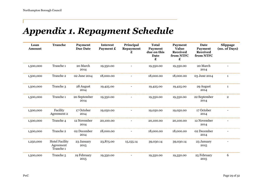## *Appendix 1. Repayment Schedule*

| Loan<br><b>Amount</b> | <b>Tranche</b>                                  | <b>Payment</b><br><b>Due Date</b> | <b>Interest</b><br>Payment £ | Principal<br><b>Repayment</b><br>£ | <b>Total</b><br><b>Payment</b><br>due on this<br><b>Date</b><br>£ | <b>Payment</b><br><b>Value</b><br><b>Received</b><br>from NTFC<br>£ | <b>Date</b><br>Payment<br><b>Received</b><br>from NTFC | Slippage<br>(no. of Days) |
|-----------------------|-------------------------------------------------|-----------------------------------|------------------------------|------------------------------------|-------------------------------------------------------------------|---------------------------------------------------------------------|--------------------------------------------------------|---------------------------|
| 1,500,000             | Tranche 1                                       | 20 March<br>2014                  | 19,350.00                    |                                    | 19,350.00                                                         | 19,350.00                                                           | 20 March<br>2014                                       |                           |
| 1,500,000             | Tranche 2                                       | 02 June 2014                      | 18,000.00                    |                                    | 18,000.00                                                         | 18,000.00                                                           | 03 June 2014                                           | $\mathbf{1}$              |
| 1,500,000             | Tranche 3                                       | 28 August<br>2014                 | 19,425.00                    |                                    | 19,425.00                                                         | 19,425.00                                                           | 29 August<br>2014                                      | $\mathbf{1}$              |
| 1,500,000             | Tranche 1                                       | 20 September<br>2014              | 19,350.00                    |                                    | 19,350.00                                                         | 19,350.00                                                           | 22 September<br>2014                                   | $\overline{2}$            |
| 1,500,000             | Facility<br>Agreement 2                         | 17 October<br>2014                | 19,050.00                    |                                    | 19,050.00                                                         | 19,050.00                                                           | 17 October<br>2014                                     |                           |
| 1,500,000             | Tranche 4                                       | 12 November<br>2014               | 20,100.00                    |                                    | 20,100.00                                                         | 20,100.00                                                           | 12 November<br>2014                                    |                           |
| 1,500,000             | Tranche 2                                       | 02 December<br>2014               | 18,000.00                    |                                    | 18,000.00                                                         | 18,000.00                                                           | 02 December<br>2014                                    |                           |
| 1,250,000             | <b>Hotel Facility</b><br>Agreement<br>Tranche 1 | 23 January<br>2015                | 23,875.00                    | 15, 155. 14                        | 39,030.14                                                         | 39,030.14                                                           | 23 January<br>2015                                     | $\overline{\phantom{a}}$  |
| 1,500,000             | Tranche <sub>5</sub>                            | 19 February<br>2015               | 19,350.00                    |                                    | 19,350.00                                                         | 19,350.00                                                           | 25 February<br>2015                                    | 6                         |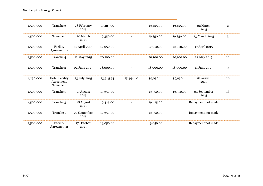Northampton Borough Council

л

| 1,500,000 | Tranche 3                                       | 28 February<br>2015  | 19,425.00 |                          | 19,425.00 | 19,425.00 | 02 March<br>2015     | $\overline{2}$ |
|-----------|-------------------------------------------------|----------------------|-----------|--------------------------|-----------|-----------|----------------------|----------------|
| 1,500,000 | Tranche 1                                       | 20 March<br>2015     | 19,350.00 |                          | 19,350.00 | 19,350.00 | 23 March 2015        | 3              |
| 1,500,000 | Facility<br>Agreement 2                         | 17 April 2015        | 19,050.00 |                          | 19,050.00 | 19,050.00 | 17 April 2015        |                |
| 1,500,000 | Tranche 4                                       | 12 May 2015          | 20,100.00 |                          | 20,100.00 | 20,100.00 | 22 May 2015          | 10             |
| 1,500,000 | Tranche 2                                       | 02 June 2015         | 18,000.00 | $\overline{\phantom{a}}$ | 18,000.00 | 18,000.00 | 11 June 2015         | 9              |
| 1,250,000 | <b>Hotel Facility</b><br>Agreement<br>Tranche 1 | 23 July 2015         | 23,585.54 | 15,444.60                | 39,030.14 | 39,030.14 | 18 August<br>2015    | 26             |
| 1,500,000 | Tranche <sub>5</sub>                            | 19 August<br>2015    | 19,350.00 |                          | 19,350.00 | 19,350.00 | 04 September<br>2015 | 16             |
| 1,500,000 | Tranche 3                                       | 28 August<br>2015    | 19,425.00 |                          | 19,425.00 |           | Repayment not made   |                |
| 1,500,000 | Tranche 1                                       | 20 September<br>2015 | 19,350.00 |                          | 19,350.00 |           | Repayment not made   |                |
| 1,500,000 | Facility<br>Agreement 2                         | 17 October<br>2015   | 19,050.00 |                          | 19,050.00 |           | Repayment not made   |                |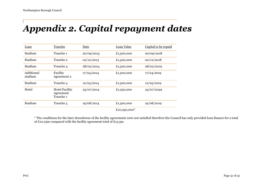## *Appendix 2. Capital repayment dates*

| Loan                  | Tranche                                         | Date       | Loan Value | Capital to be repaid |
|-----------------------|-------------------------------------------------|------------|------------|----------------------|
| Stadium               | Tranche 1                                       | 20/09/2013 | £1,500,000 | 20/09/2018           |
| Stadium               | Tranche 2                                       | 02/12/2013 | £1,500,000 | 02/12/2018           |
| Stadium               | Tranche 3                                       | 28/02/2014 | £1,500,000 | 28/02/2019           |
| Additional<br>stadium | Facility<br>Agreement 2                         | 17/04/2014 | £1,500,000 | 17/04/2019           |
| Stadium               | Tranche 4                                       | 12/05/2014 | £1,500,000 | 12/05/2019           |
| Hotel                 | <b>Hotel Facility</b><br>Agreement<br>Tranche 1 | 23/07/2014 | £1,250,000 | 23/07/2039           |
| Stadium               | Tranche <sub>5</sub>                            | 19/08/2014 | £1,500,000 | 19/08/2019           |
|                       |                                                 |            |            |                      |

£10,250,000

\* The conditions for the later drawdowns of the facility agreements were not satisfied therefore the Council has only provided loan finance for a total of £10.25m compared with the facility agreement total of £13.5m.